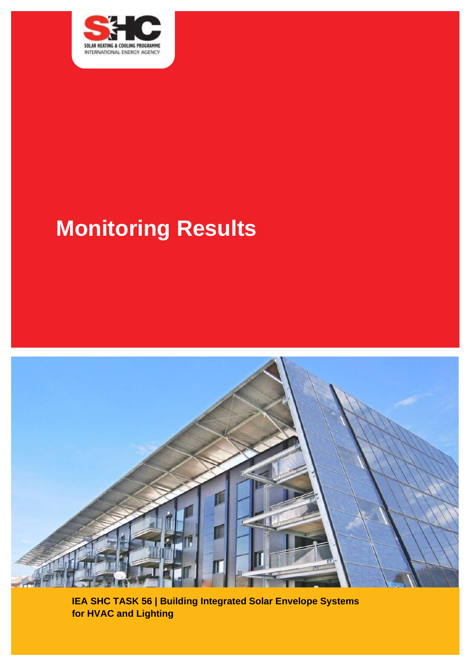

# **Monitoring Results**



**IEA SHC TASK 56 | Building Integrated Solar Envelope Systems for HVAC and Lighting**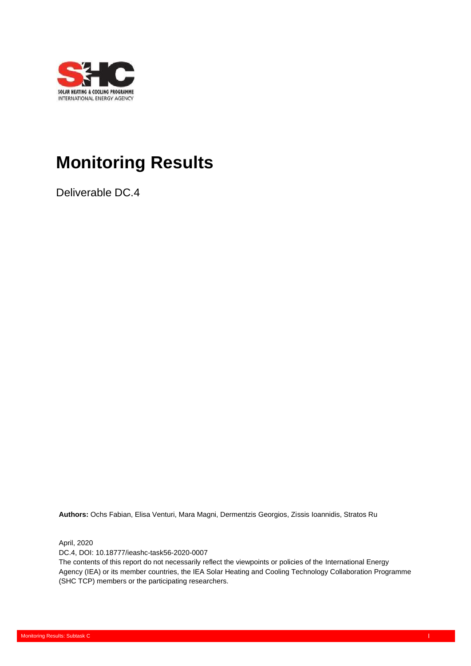

# **Monitoring Results**

Deliverable DC.4

**Authors:** Ochs Fabian, Elisa Venturi, Mara Magni, Dermentzis Georgios, Zissis Ioannidis, Stratos Ru

April, 2020

DC.4, DOI: 10.18777/ieashc-task56-2020-0007

System Simulation Models: Subtask C

The contents of this report do not necessarily reflect the viewpoints or policies of the International Energy Agency (IEA) or its member countries, the IEA Solar Heating and Cooling Technology Collaboration Programme (SHC TCP) members or the participating researchers.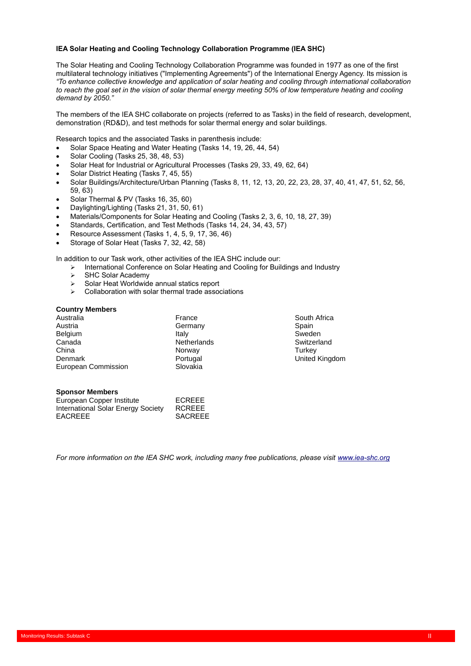#### **IEA Solar Heating and Cooling Technology Collaboration Programme (IEA SHC)**

The Solar Heating and Cooling Technology Collaboration Programme was founded in 1977 as one of the first multilateral technology initiatives ("Implementing Agreements") of the International Energy Agency. Its mission is *"To enhance collective knowledge and application of solar heating and cooling through international collaboration*  to reach the goal set in the vision of solar thermal energy meeting 50% of low temperature heating and cooling *demand by 2050."*

The members of the IEA SHC collaborate on projects (referred to as Tasks) in the field of research, development, demonstration (RD&D), and test methods for solar thermal energy and solar buildings.

Research topics and the associated Tasks in parenthesis include:

- Solar Space Heating and Water Heating (Tasks 14, 19, 26, 44, 54)
- Solar Cooling (Tasks 25, 38, 48, 53)
- Solar Heat for Industrial or Agricultural Processes (Tasks 29, 33, 49, 62, 64)
- Solar District Heating (Tasks 7, 45, 55)
- Solar Buildings/Architecture/Urban Planning (Tasks 8, 11, 12, 13, 20, 22, 23, 28, 37, 40, 41, 47, 51, 52, 56, 59, 63)
- Solar Thermal & PV (Tasks 16, 35, 60)
- Daylighting/Lighting (Tasks 21, 31, 50, 61)
- Materials/Components for Solar Heating and Cooling (Tasks 2, 3, 6, 10, 18, 27, 39)
- Standards, Certification, and Test Methods (Tasks 14, 24, 34, 43, 57)
- Resource Assessment (Tasks 1, 4, 5, 9, 17, 36, 46)
- Storage of Solar Heat (Tasks 7, 32, 42, 58)

In addition to our Task work, other activities of the IEA SHC include our:

- ➢ International Conference on Solar Heating and Cooling for Buildings and Industry
- > SHC Solar Academy<br>> Solar Heat Worldwide
- ➢ Solar Heat Worldwide annual statics report
- ➢ Collaboration with solar thermal trade associations

#### **Country Members**

| France             | South A         |
|--------------------|-----------------|
| Germany            | Spain           |
| Italy              | Sweden          |
| <b>Netherlands</b> | Switzerl        |
| Norway             | Turkey          |
| Portugal           | United <b>h</b> |
| Slovakia           |                 |
|                    |                 |

# South Africa Switzerland United Kingdom

#### **Sponsor Members**

| European Copper Institute          | ECREEE         |
|------------------------------------|----------------|
| International Solar Energy Society | <b>RCREEE</b>  |
| <b>EACREEE</b>                     | <b>SACREEE</b> |

System Simulation Models: Subtask C

*For more information on the IEA SHC work, including many free publications, please visi[t www.iea-shc.org](http://www.iea-shc.org/)*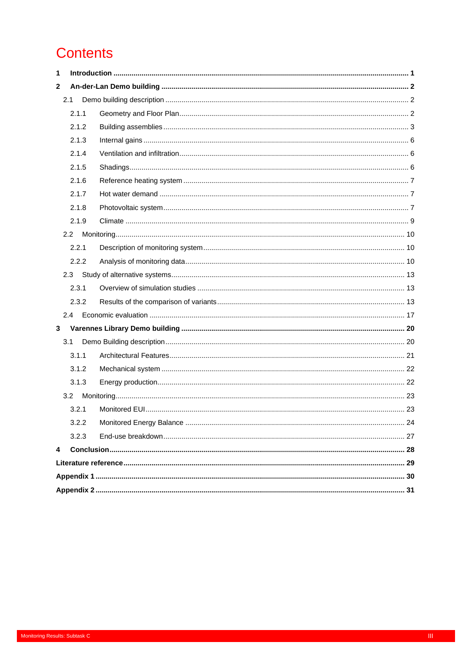# **Contents**

| 1            |       |  |
|--------------|-------|--|
| $\mathbf{2}$ |       |  |
|              | 2.1   |  |
|              | 2.1.1 |  |
|              | 2.1.2 |  |
|              | 2.1.3 |  |
|              | 2.1.4 |  |
|              | 2.1.5 |  |
|              | 2.1.6 |  |
|              | 2.1.7 |  |
|              | 2.1.8 |  |
|              | 2.1.9 |  |
|              | 2.2   |  |
|              | 2.2.1 |  |
|              | 2.2.2 |  |
|              | 2.3   |  |
|              | 2.3.1 |  |
|              | 2.3.2 |  |
|              | 2.4   |  |
| 3            |       |  |
|              | 3.1   |  |
|              | 3.1.1 |  |
|              | 3.1.2 |  |
|              | 3.1.3 |  |
|              | 3.2   |  |
|              | 3.2.1 |  |
|              | 3.2.2 |  |
|              | 3.2.3 |  |
| 4            |       |  |
|              |       |  |
|              |       |  |
|              |       |  |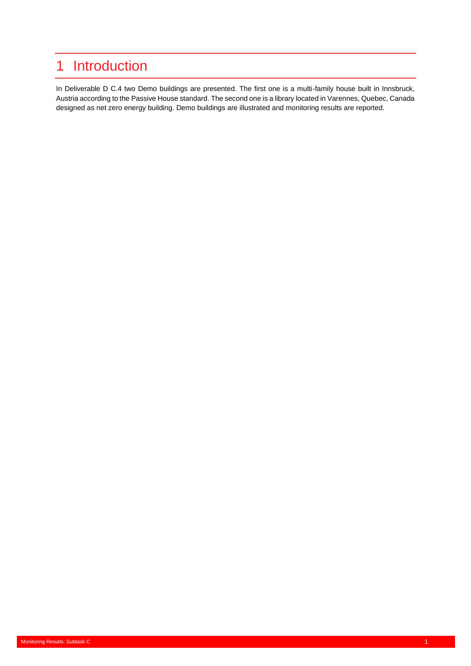# <span id="page-4-0"></span>1 Introduction

In Deliverable D C.4 two Demo buildings are presented. The first one is a multi-family house built in Innsbruck, Austria according to the Passive House standard. The second one is a library located in Varennes, Quebec, Canada designed as net zero energy building. Demo buildings are illustrated and monitoring results are reported.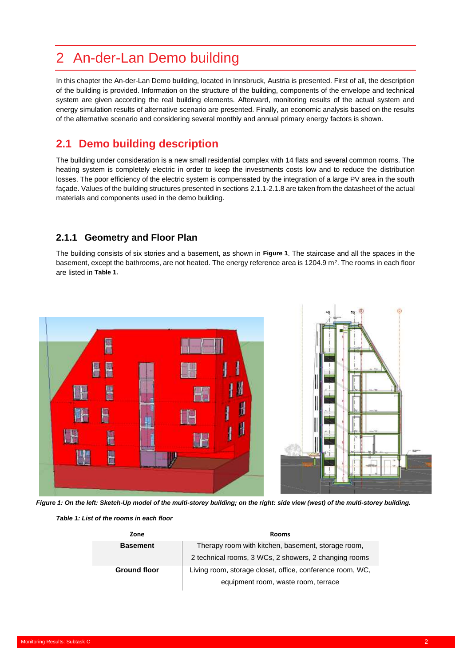# <span id="page-5-0"></span>2 An-der-Lan Demo building

In this chapter the An-der-Lan Demo building, located in Innsbruck, Austria is presented. First of all, the description of the building is provided. Information on the structure of the building, components of the envelope and technical system are given according the real building elements. Afterward, monitoring results of the actual system and energy simulation results of alternative scenario are presented. Finally, an economic analysis based on the results of the alternative scenario and considering several monthly and annual primary energy factors is shown.

# <span id="page-5-1"></span>**2.1 Demo building description**

The building under consideration is a new small residential complex with 14 flats and several common rooms. The heating system is completely electric in order to keep the investments costs low and to reduce the distribution losses. The poor efficiency of the electric system is compensated by the integration of a large PV area in the south façade. Values of the building structures presented in section[s 2.1.1](#page-5-2)[-2.1.8](#page-10-2) are taken from the datasheet of the actual materials and components used in the demo building.

# <span id="page-5-2"></span>**2.1.1 Geometry and Floor Plan**

The building consists of six stories and a basement, as shown in **[Figure 1](#page-5-3)**. The staircase and all the spaces in the basement, except the bathrooms, are not heated. The energy reference area is 1204.9 m<sup>2</sup>. The rooms in each floor are listed in **[Table 1.](#page-5-4)**



*Figure 1: On the left: Sketch-Up model of the multi-storey building; on the right: side view (west) of the multi-storey building.*

<span id="page-5-4"></span><span id="page-5-3"></span>*Table 1: List of the rooms in each floor*

| Zone                | <b>Rooms</b>                                              |  |  |  |  |  |
|---------------------|-----------------------------------------------------------|--|--|--|--|--|
| <b>Basement</b>     | Therapy room with kitchen, basement, storage room,        |  |  |  |  |  |
|                     | 2 technical rooms, 3 WCs, 2 showers, 2 changing rooms     |  |  |  |  |  |
| <b>Ground floor</b> | Living room, storage closet, office, conference room, WC, |  |  |  |  |  |
|                     | equipment room, waste room, terrace                       |  |  |  |  |  |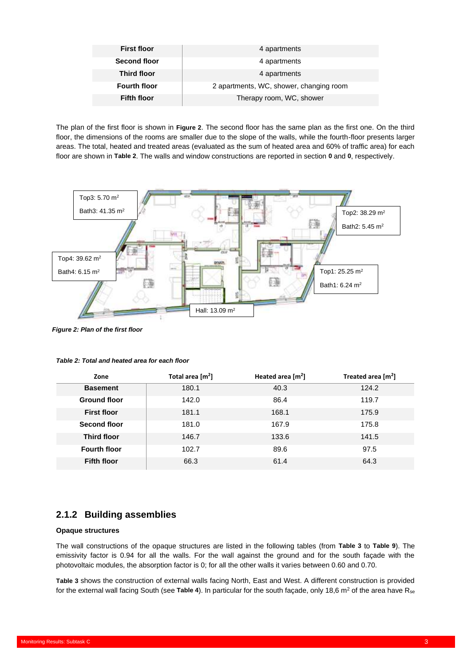| <b>First floor</b>  | 4 apartments                            |
|---------------------|-----------------------------------------|
| <b>Second floor</b> | 4 apartments                            |
| <b>Third floor</b>  | 4 apartments                            |
| <b>Fourth floor</b> | 2 apartments, WC, shower, changing room |
| <b>Fifth floor</b>  | Therapy room, WC, shower                |

The plan of the first floor is shown in **[Figure 2](#page-6-1)**. The second floor has the same plan as the first one. On the third floor, the dimensions of the rooms are smaller due to the slope of the walls, while the fourth-floor presents larger areas. The total, heated and treated areas (evaluated as the sum of heated area and 60% of traffic area) for each floor are shown in **[Table 2](#page-6-2)**. The walls and window constructions are reported in section **[0](#page-6-3)** and **[0](#page-8-0)**, respectively.



<span id="page-6-1"></span>*Figure 2: Plan of the first floor*

| Zone                | Total area $[m^2]$ |       | Treated area $[m2]$ |
|---------------------|--------------------|-------|---------------------|
| <b>Basement</b>     | 180.1              | 40.3  | 124.2               |
| <b>Ground floor</b> | 142.0              | 86.4  | 119.7               |
| <b>First floor</b>  | 181.1              | 168.1 | 175.9               |
| Second floor        | 181.0              | 167.9 | 175.8               |
| <b>Third floor</b>  | 146.7              | 133.6 | 141.5               |
| <b>Fourth floor</b> | 102.7              | 89.6  | 97.5                |
| <b>Fifth floor</b>  | 66.3               | 61.4  | 64.3                |

#### <span id="page-6-2"></span>*Table 2: Total and heated area for each floor*

### <span id="page-6-0"></span>**2.1.2 Building assemblies**

System Simulation Models: Subtask C

#### <span id="page-6-3"></span>**Opaque structures**

The wall constructions of the opaque structures are listed in the following tables (from **[Table 3](#page-7-0)** to **[Table 9](#page-8-1)**). The emissivity factor is 0.94 for all the walls. For the wall against the ground and for the south façade with the photovoltaic modules, the absorption factor is 0; for all the other walls it varies between 0.60 and 0.70.

**[Table 3](#page-7-0)** shows the construction of external walls facing North, East and West. A different construction is provided for the external wall facing South (see **[Table 4](#page-7-1)**). In particular for the south façade, only 18,6 m<sup>2</sup> of the area have Rse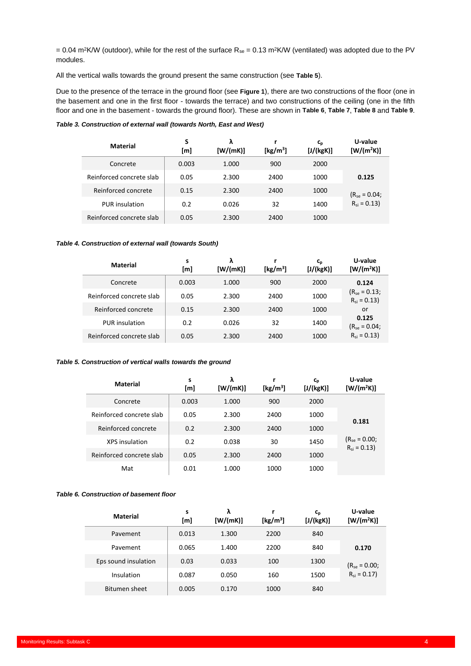= 0.04 m<sup>2</sup>K/W (outdoor), while for the rest of the surface  $R_{se}$  = 0.13 m<sup>2</sup>K/W (ventilated) was adopted due to the PV modules.

All the vertical walls towards the ground present the same construction (see **[Table 5](#page-7-2)**).

Due to the presence of the terrace in the ground floor (see **[Figure 1](#page-5-3)**), there are two constructions of the floor (one in the basement and one in the first floor - towards the terrace) and two constructions of the ceiling (one in the fifth floor and one in the basement - towards the ground floor). These are shown in **[Table 6](#page-7-3)**, **[Table 7](#page-8-2)**, **[Table 8](#page-8-3)** and **[Table 9](#page-8-1)**.

#### <span id="page-7-0"></span>*Table 3. Construction of external wall (towards North, East and West)*

| <b>Material</b>          | S<br>[m] | λ<br>[W/(mK)] | [ $kg/m3$ ] | $c_{p}$<br>[J/(kgK)] | U-value<br>$[W/(m^2K)]$ |
|--------------------------|----------|---------------|-------------|----------------------|-------------------------|
| Concrete                 | 0.003    | 1.000         | 900         | 2000                 |                         |
| Reinforced concrete slab | 0.05     | 2.300         | 2400        | 1000                 | 0.125                   |
| Reinforced concrete      | 0.15     | 2.300         | 2400        | 1000                 | $(R_{se} = 0.04;$       |
| <b>PUR</b> insulation    | 0.2      | 0.026         | 32          | 1400                 | $R_{si} = 0.13$         |
| Reinforced concrete slab | 0.05     | 2.300         | 2400        | 1000                 |                         |

#### <span id="page-7-1"></span>*Table 4. Construction of external wall (towards South)*

| <b>Material</b>          | s<br>[m] | λ<br>[W/(mK)] | [ $kg/m3$ ] | $c_{p}$<br>[J/(kgK)] | U-value<br>$[W/(m^2K)]$              |
|--------------------------|----------|---------------|-------------|----------------------|--------------------------------------|
| Concrete                 | 0.003    | 1.000         | 900         | 2000                 | 0.124                                |
| Reinforced concrete slab | 0.05     | 2.300         | 2400        | 1000                 | $(R_{se} = 0.13;$<br>$R_{si} = 0.13$ |
| Reinforced concrete      | 0.15     | 2.300         | 2400        | 1000                 | or                                   |
| <b>PUR</b> insulation    | 0.2      | 0.026         | 32          | 1400                 | 0.125<br>$(R_{SP} = 0.04)$           |
| Reinforced concrete slab | 0.05     | 2.300         | 2400        | 1000                 | $R_{si} = 0.13$                      |

#### <span id="page-7-2"></span>*Table 5. Construction of vertical walls towards the ground*

System Simulation Models: Subtask C

| <b>Material</b>          | s<br>[m] | λ<br>[W/(mK)] | [ $kg/m3$ ] | $c_{p}$<br>[J/(kgK)] | U-value<br>$[W/(m^2K)]$              |
|--------------------------|----------|---------------|-------------|----------------------|--------------------------------------|
| Concrete                 | 0.003    | 1.000         | 900         | 2000                 |                                      |
| Reinforced concrete slab | 0.05     | 2.300         | 2400        | 1000                 | 0.181                                |
| Reinforced concrete      | 0.2      | 2.300         | 2400        | 1000                 |                                      |
| <b>XPS</b> insulation    | 0.2      | 0.038         | 30          | 1450                 | $(R_{se} = 0.00;$<br>$R_{si} = 0.13$ |
| Reinforced concrete slab | 0.05     | 2.300         | 2400        | 1000                 |                                      |
| Mat                      | 0.01     | 1.000         | 1000        | 1000                 |                                      |

#### <span id="page-7-3"></span>*Table 6. Construction of basement floor*

| <b>Material</b>      | S<br>[m] | λ<br>[W/(mK)] | [ $kg/m3$ ] | $c_{p}$<br>[J/(kgK)] | U-value<br>$[W/(m^2K)]$ |
|----------------------|----------|---------------|-------------|----------------------|-------------------------|
| Pavement             | 0.013    | 1.300         | 2200        | 840                  |                         |
| Pavement             | 0.065    | 1.400         | 2200        | 840                  | 0.170                   |
| Eps sound insulation | 0.03     | 0.033         | 100         | 1300                 | $(R_{se} = 0.00;$       |
| Insulation           | 0.087    | 0.050         | 160         | 1500                 | $R_{si} = 0.17$         |
| Bitumen sheet        | 0.005    | 0.170         | 1000        | 840                  |                         |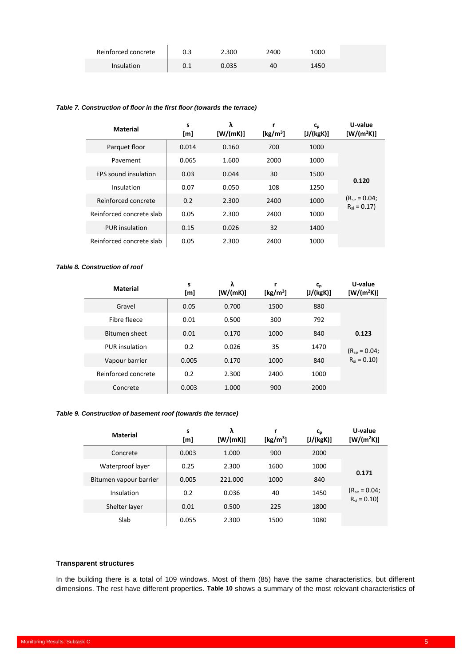| Reinforced concrete | 2.300 | 2400 | 1000 |
|---------------------|-------|------|------|
| Insulation          | 0.035 | 40   | 1450 |

#### <span id="page-8-2"></span>*Table 7. Construction of floor in the first floor (towards the terrace)*

| <b>Material</b>             | s<br>[m] | λ<br>[W/(mK)] | [ $kg/m3$ ] | $c_{p}$<br>[J/(kgK)] | U-value<br>$[W/(m^2K)]$              |
|-----------------------------|----------|---------------|-------------|----------------------|--------------------------------------|
| Parquet floor               | 0.014    | 0.160         | 700         | 1000                 |                                      |
| Pavement                    | 0.065    | 1.600         | 2000        | 1000                 |                                      |
| <b>EPS</b> sound insulation | 0.03     | 0.044         | 30          | 1500                 | 0.120                                |
| Insulation                  | 0.07     | 0.050         | 108         | 1250                 |                                      |
| Reinforced concrete         | 0.2      | 2.300         | 2400        | 1000                 | $(R_{se} = 0.04;$<br>$R_{si} = 0.17$ |
| Reinforced concrete slab    | 0.05     | 2.300         | 2400        | 1000                 |                                      |
| <b>PUR</b> insulation       | 0.15     | 0.026         | 32          | 1400                 |                                      |
| Reinforced concrete slab    | 0.05     | 2.300         | 2400        | 1000                 |                                      |

#### <span id="page-8-3"></span>*Table 8. Construction of roof*

| <b>Material</b>       | S<br>[m] | λ<br>[W/(mK)] | r<br>[ $kg/m3$ ] | $C_{p}$<br>[J/(kgK)] | U-value<br>$[W/(m^2K)]$ |
|-----------------------|----------|---------------|------------------|----------------------|-------------------------|
| Gravel                | 0.05     | 0.700         | 1500             | 880                  |                         |
| Fibre fleece          | 0.01     | 0.500         | 300              | 792                  |                         |
| Bitumen sheet         | 0.01     | 0.170         | 1000             | 840                  | 0.123                   |
| <b>PUR</b> insulation | 0.2      | 0.026         | 35               | 1470                 | $(R_{se} = 0.04;$       |
| Vapour barrier        | 0.005    | 0.170         | 1000             | 840                  | $R_{si} = 0.10$         |
| Reinforced concrete   | 0.2      | 2.300         | 2400             | 1000                 |                         |
| Concrete              | 0.003    | 1.000         | 900              | 2000                 |                         |

#### <span id="page-8-1"></span>*Table 9. Construction of basement roof (towards the terrace)*

System Simulation Models: Subtask C

| <b>Material</b>        | s<br>[m] | λ<br>[W/(mK)] | [ $kg/m3$ ] | $c_{p}$<br>[J/(kgK)] | U-value<br>[W/(m <sup>2</sup> K)]    |
|------------------------|----------|---------------|-------------|----------------------|--------------------------------------|
| Concrete               | 0.003    | 1.000         | 900         | 2000                 |                                      |
| Waterproof layer       | 0.25     | 2.300         | 1600        | 1000                 | 0.171                                |
| Bitumen vapour barrier | 0.005    | 221.000       | 1000        | 840                  |                                      |
| Insulation             | 0.2      | 0.036         | 40          | 1450                 | $(R_{se} = 0.04;$<br>$R_{si} = 0.10$ |
| Shelter layer          | 0.01     | 0.500         | 225         | 1800                 |                                      |
| Slab                   | 0.055    | 2.300         | 1500        | 1080                 |                                      |

#### <span id="page-8-0"></span>**Transparent structures**

In the building there is a total of 109 windows. Most of them (85) have the same characteristics, but different dimensions. The rest have different properties. **[Table 10](#page-9-3)** shows a summary of the most relevant characteristics of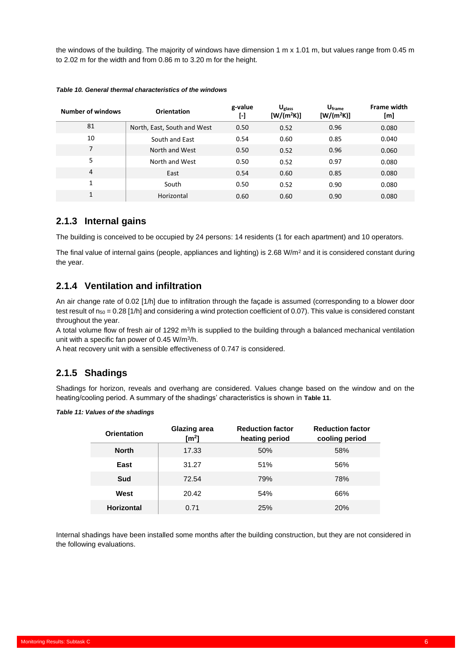the windows of the building. The majority of windows have dimension 1 m x 1.01 m, but values range from 0.45 m to 2.02 m for the width and from 0.86 m to 3.20 m for the height.

| <b>Number of windows</b> | <b>Orientation</b>          | g-value<br>$\lbrack \cdot \rbrack$ | $U_{glass}$<br>$[W/(m^2K)]$ | U <sub>frame</sub><br>$[W/(m^2K)]$ | <b>Frame width</b><br>[m] |
|--------------------------|-----------------------------|------------------------------------|-----------------------------|------------------------------------|---------------------------|
| 81                       | North, East, South and West | 0.50                               | 0.52                        | 0.96                               | 0.080                     |
| 10                       | South and East              | 0.54                               | 0.60                        | 0.85                               | 0.040                     |
| 7                        | North and West              | 0.50                               | 0.52                        | 0.96                               | 0.060                     |
| 5                        | North and West              | 0.50                               | 0.52                        | 0.97                               | 0.080                     |
| 4                        | East                        | 0.54                               | 0.60                        | 0.85                               | 0.080                     |
| 1                        | South                       | 0.50                               | 0.52                        | 0.90                               | 0.080                     |
| 1                        | Horizontal                  | 0.60                               | 0.60                        | 0.90                               | 0.080                     |

<span id="page-9-3"></span>*Table 10. General thermal characteristics of the windows*

### <span id="page-9-0"></span>**2.1.3 Internal gains**

The building is conceived to be occupied by 24 persons: 14 residents (1 for each apartment) and 10 operators.

The final value of internal gains (people, appliances and lighting) is 2.68 W/m<sup>2</sup> and it is considered constant during the year.

### <span id="page-9-1"></span>**2.1.4 Ventilation and infiltration**

An air change rate of 0.02 [1/h] due to infiltration through the façade is assumed (corresponding to a blower door test result of  $n_{50} = 0.28$  [1/h] and considering a wind protection coefficient of 0.07). This value is considered constant throughout the year.

A total volume flow of fresh air of 1292 m<sup>3</sup>/h is supplied to the building through a balanced mechanical ventilation unit with a specific fan power of 0.45 W/m<sup>3</sup> /h.

<span id="page-9-2"></span>A heat recovery unit with a sensible effectiveness of 0.747 is considered.

#### **2.1.5 Shadings**

Shadings for horizon, reveals and overhang are considered. Values change based on the window and on the heating/cooling period. A summary of the shadings' characteristics is shown in **[Table 11](#page-9-4)**.

<span id="page-9-4"></span>

| Table 11: Values of the shadings |  |
|----------------------------------|--|
|----------------------------------|--|

System Simulation Models: Subtask C

| <b>Orientation</b> | <b>Glazing area</b><br>$\text{[m}^2\text{]}$ | <b>Reduction factor</b><br>heating period | <b>Reduction factor</b><br>cooling period |
|--------------------|----------------------------------------------|-------------------------------------------|-------------------------------------------|
| <b>North</b>       | 17.33                                        | 50%                                       | 58%                                       |
| East               | 31.27                                        | 51%                                       | 56%                                       |
| Sud                | 72.54                                        | 79%                                       | 78%                                       |
| West               | 20.42                                        | 54%                                       | 66%                                       |
| <b>Horizontal</b>  | 0.71                                         | 25%                                       | <b>20%</b>                                |

Internal shadings have been installed some months after the building construction, but they are not considered in the following evaluations.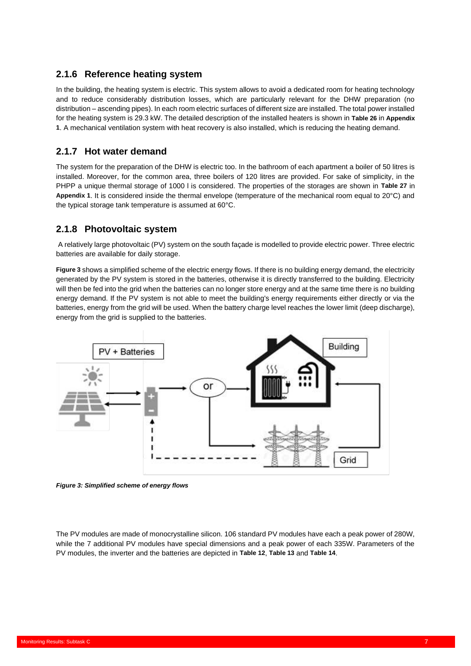# <span id="page-10-0"></span>**2.1.6 Reference heating system**

In the building, the heating system is electric. This system allows to avoid a dedicated room for heating technology and to reduce considerably distribution losses, which are particularly relevant for the DHW preparation (no distribution – ascending pipes). In each room electric surfaces of different size are installed. The total power installed for the heating system is 29.3 kW. The detailed description of the installed heaters is shown in **[Table 26](#page-33-1)** in **[Appendix](#page-33-0)  [1](#page-33-0)**. A mechanical ventilation system with heat recovery is also installed, which is reducing the heating demand.

# <span id="page-10-1"></span>**2.1.7 Hot water demand**

The system for the preparation of the DHW is electric too. In the bathroom of each apartment a boiler of 50 litres is installed. Moreover, for the common area, three boilers of 120 litres are provided. For sake of simplicity, in the PHPP a unique thermal storage of 1000 l is considered. The properties of the storages are shown in **[Table 27](#page-33-2)** in **[Appendix 1](#page-33-0)**. It is considered inside the thermal envelope (temperature of the mechanical room equal to 20°C) and the typical storage tank temperature is assumed at 60°C.

# <span id="page-10-2"></span>**2.1.8 Photovoltaic system**

A relatively large photovoltaic (PV) system on the south façade is modelled to provide electric power. Three electric batteries are available for daily storage.

**[Figure 3](#page-10-3)** shows a simplified scheme of the electric energy flows. If there is no building energy demand, the electricity generated by the PV system is stored in the batteries, otherwise it is directly transferred to the building. Electricity will then be fed into the grid when the batteries can no longer store energy and at the same time there is no building energy demand. If the PV system is not able to meet the building's energy requirements either directly or via the batteries, energy from the grid will be used. When the battery charge level reaches the lower limit (deep discharge), energy from the grid is supplied to the batteries.



<span id="page-10-3"></span>*Figure 3: Simplified scheme of energy flows*

System Simulation Models: Subtask C

The PV modules are made of monocrystalline silicon. 106 standard PV modules have each a peak power of 280W, while the 7 additional PV modules have special dimensions and a peak power of each 335W. Parameters of the PV modules, the inverter and the batteries are depicted in **[Table 12](#page-11-0)**, **[Table 13](#page-11-1)** and **[Table 14](#page-11-2)**.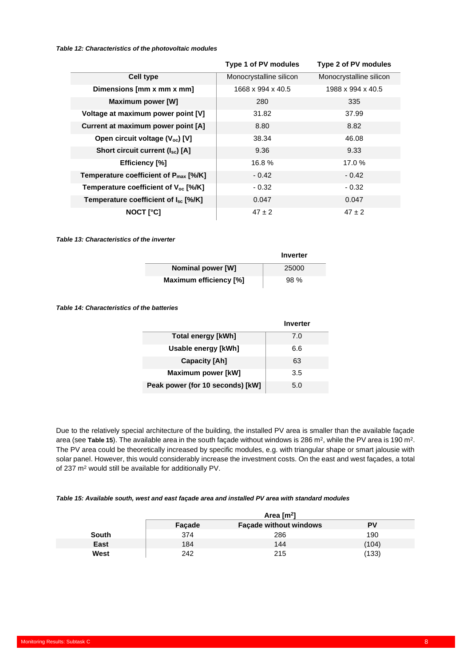#### <span id="page-11-0"></span>*Table 12: Characteristics of the photovoltaic modules*

|                                                  | Type 1 of PV modules    | Type 2 of PV modules    |
|--------------------------------------------------|-------------------------|-------------------------|
| <b>Cell type</b>                                 | Monocrystalline silicon | Monocrystalline silicon |
| Dimensions [mm x mm x mm]                        | 1668 x 994 x 40.5       | 1988 x 994 x 40.5       |
| <b>Maximum power [W]</b>                         | 280                     | 335                     |
| Voltage at maximum power point [V]               | 31.82                   | 37.99                   |
| Current at maximum power point [A]               | 8.80                    | 8.82                    |
| Open circuit voltage (V <sub>oc</sub> ) [V]      | 38.34                   | 46.08                   |
| Short circuit current (I <sub>sc</sub> ) [A]     | 9.36                    | 9.33                    |
| <b>Efficiency</b> [%]                            | 16.8%                   | 17.0%                   |
| Temperature coefficient of $P_{max}$ [%/K]       | $-0.42$                 | - 0.42                  |
| Temperature coefficient of V <sub>oc</sub> [%/K] | $-0.32$                 | - 0.32                  |
| Temperature coefficient of $I_{sc}$ [%/K]        | 0.047                   | 0.047                   |
| <b>NOCT [°C]</b>                                 | $47 \pm 2$              | $47 \pm 2$              |

<span id="page-11-1"></span>*Table 13: Characteristics of the inverter*

|                        | Inverter |
|------------------------|----------|
| Nominal power [W]      | 25000    |
| Maximum efficiency [%] | 98 %     |

<span id="page-11-2"></span>*Table 14: Characteristics of the batteries*

|                                  | Inverter |
|----------------------------------|----------|
| <b>Total energy [kWh]</b>        | 7.0      |
| Usable energy [kWh]              | 6.6      |
| <b>Capacity [Ah]</b>             | 63       |
| Maximum power [kW]               | 3.5      |
| Peak power (for 10 seconds) [kW] | 5.0      |

Due to the relatively special architecture of the building, the installed PV area is smaller than the available façade area (see [Table 15](#page-11-3)). The available area in the south façade without windows is 286 m<sup>2</sup>, while the PV area is 190 m<sup>2</sup>. The PV area could be theoretically increased by specific modules, e.g. with triangular shape or smart jalousie with solar panel. However, this would considerably increase the investment costs. On the east and west façades, a total of 237 m<sup>2</sup> would still be available for additionally PV.

#### <span id="page-11-3"></span>*Table 15: Available south, west and east façade area and installed PV area with standard modules*

|       | Area $\lceil m^2 \rceil$ |                               |       |
|-------|--------------------------|-------------------------------|-------|
|       | Facade                   | <b>Facade without windows</b> | PV    |
| South | 374                      | 286                           | 190   |
| East  | 184                      | 144                           | (104) |
| West  | 242                      | 215                           | (133) |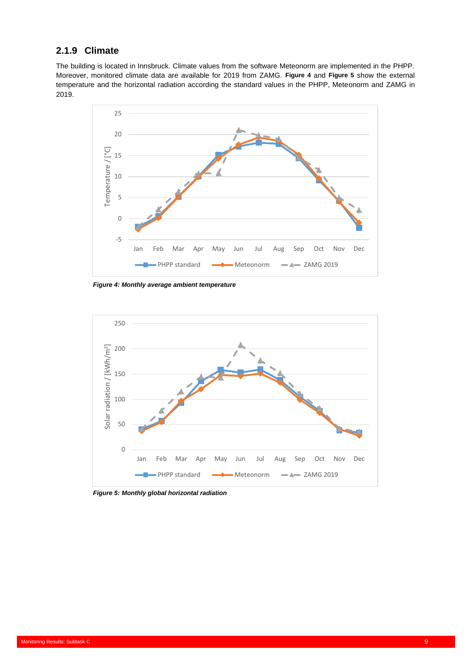# <span id="page-12-0"></span>**2.1.9 Climate**

The building is located in Innsbruck. Climate values from the software Meteonorm are implemented in the PHPP. Moreover, monitored climate data are available for 2019 from ZAMG. **[Figure 4](#page-12-1)** and **[Figure 5](#page-12-2)** show the external temperature and the horizontal radiation according the standard values in the PHPP, Meteonorm and ZAMG in 2019.



<span id="page-12-1"></span>*Figure 4: Monthly average ambient temperature*



<span id="page-12-2"></span>*Figure 5: Monthly global horizontal radiation*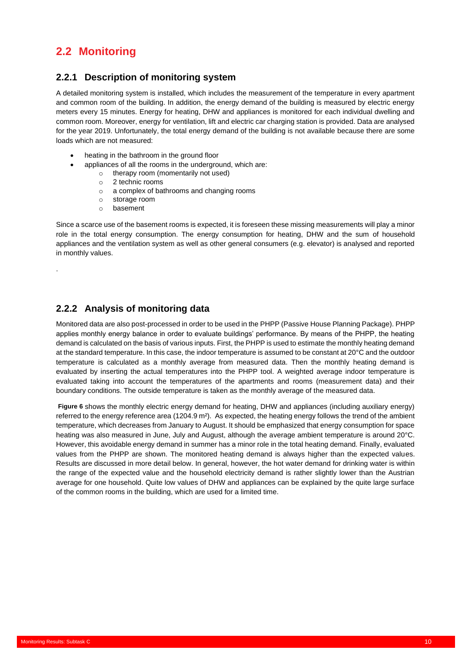# <span id="page-13-0"></span>**2.2 Monitoring**

### <span id="page-13-1"></span>**2.2.1 Description of monitoring system**

A detailed monitoring system is installed, which includes the measurement of the temperature in every apartment and common room of the building. In addition, the energy demand of the building is measured by electric energy meters every 15 minutes. Energy for heating, DHW and appliances is monitored for each individual dwelling and common room. Moreover, energy for ventilation, lift and electric car charging station is provided. Data are analysed for the year 2019. Unfortunately, the total energy demand of the building is not available because there are some loads which are not measured:

- heating in the bathroom in the ground floor
	- appliances of all the rooms in the underground, which are:
		- o therapy room (momentarily not used)
		- o 2 technic rooms
		- o a complex of bathrooms and changing rooms
		- o storage room
		- o basement

Since a scarce use of the basement rooms is expected, it is foreseen these missing measurements will play a minor role in the total energy consumption. The energy consumption for heating, DHW and the sum of household appliances and the ventilation system as well as other general consumers (e.g. elevator) is analysed and reported in monthly values.

# <span id="page-13-2"></span>**2.2.2 Analysis of monitoring data**

System Simulation Models: Subtask C

Monitored data are also post-processed in order to be used in the PHPP (Passive House Planning Package). PHPP applies monthly energy balance in order to evaluate buildings' performance. By means of the PHPP, the heating demand is calculated on the basis of various inputs. First, the PHPP is used to estimate the monthly heating demand at the standard temperature. In this case, the indoor temperature is assumed to be constant at 20°C and the outdoor temperature is calculated as a monthly average from measured data. Then the monthly heating demand is evaluated by inserting the actual temperatures into the PHPP tool. A weighted average indoor temperature is evaluated taking into account the temperatures of the apartments and rooms (measurement data) and their boundary conditions. The outside temperature is taken as the monthly average of the measured data.

**[Figure 6](#page-14-0)** shows the monthly electric energy demand for heating, DHW and appliances (including auxiliary energy) referred to the energy reference area (1204.9 m²). As expected, the heating energy follows the trend of the ambient temperature, which decreases from January to August. It should be emphasized that energy consumption for space heating was also measured in June, July and August, although the average ambient temperature is around 20°C. However, this avoidable energy demand in summer has a minor role in the total heating demand. Finally, evaluated values from the PHPP are shown. The monitored heating demand is always higher than the expected values. Results are discussed in more detail below. In general, however, the hot water demand for drinking water is within the range of the expected value and the household electricity demand is rather slightly lower than the Austrian average for one household. Quite low values of DHW and appliances can be explained by the quite large surface of the common rooms in the building, which are used for a limited time.

.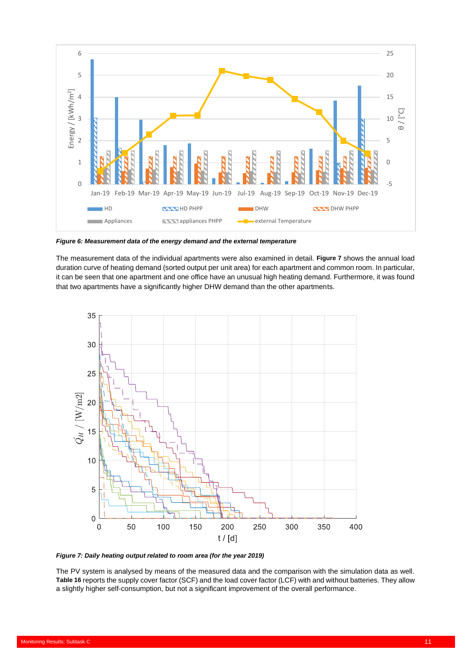

<span id="page-14-0"></span>*Figure 6: Measurement data of the energy demand and the external temperature*

The measurement data of the individual apartments were also examined in detail. **[Figure 7](#page-14-1)** shows the annual load duration curve of heating demand (sorted output per unit area) for each apartment and common room. In particular, it can be seen that one apartment and one office have an unusual high heating demand. Furthermore, it was found that two apartments have a significantly higher DHW demand than the other apartments.



<span id="page-14-1"></span>*Figure 7: Daily heating output related to room area (for the year 2019)*

System Simulation Models: Subtask C

The PV system is analysed by means of the measured data and the comparison with the simulation data as well. **[Table 16](#page-15-0)** reports the supply cover factor (SCF) and the load cover factor (LCF) with and without batteries. They allow a slightly higher self-consumption, but not a significant improvement of the overall performance.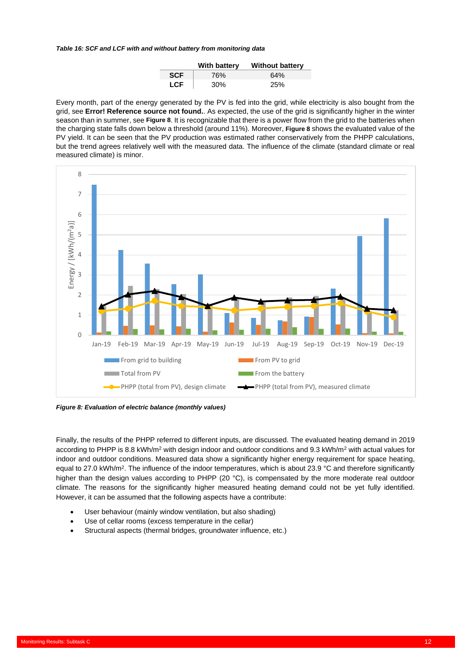<span id="page-15-0"></span>*Table 16: SCF and LCF with and without battery from monitoring data*

|            | With battery | <b>Without battery</b> |
|------------|--------------|------------------------|
| <b>SCF</b> | 76%          | 64%                    |
| <b>LCF</b> | 30%          | 25%                    |

Every month, part of the energy generated by the PV is fed into the grid, while electricity is also bought from the grid, see **Error! Reference source not found.**. As expected, the use of the grid is significantly higher in the winter season than in summer, see **[Figure 8](#page-15-1)**. It is recognizable that there is a power flow from the grid to the batteries when the charging state falls down below a threshold (around 11%). Moreover, **[Figure 8](#page-15-1)** shows the evaluated value of the PV yield. It can be seen that the PV production was estimated rather conservatively from the PHPP calculations, but the trend agrees relatively well with the measured data. The influence of the climate (standard climate or real measured climate) is minor.



<span id="page-15-1"></span>*Figure 8: Evaluation of electric balance (monthly values)*

Finally, the results of the PHPP referred to different inputs, are discussed. The evaluated heating demand in 2019 according to PHPP is 8.8 kWh/m<sup>2</sup> with design indoor and outdoor conditions and 9.3 kWh/m<sup>2</sup> with actual values for indoor and outdoor conditions. Measured data show a significantly higher energy requirement for space heating, equal to 27.0 kWh/m<sup>2</sup>. The influence of the indoor temperatures, which is about 23.9 °C and therefore significantly higher than the design values according to PHPP (20 °C), is compensated by the more moderate real outdoor climate. The reasons for the significantly higher measured heating demand could not be yet fully identified. However, it can be assumed that the following aspects have a contribute:

- User behaviour (mainly window ventilation, but also shading)
- Use of cellar rooms (excess temperature in the cellar)

System Simulation Models: Subtask C

• Structural aspects (thermal bridges, groundwater influence, etc.)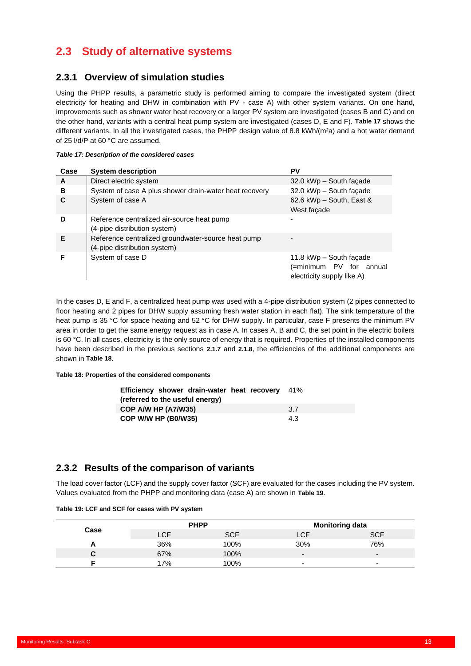# <span id="page-16-0"></span>**2.3 Study of alternative systems**

## <span id="page-16-1"></span>**2.3.1 Overview of simulation studies**

Using the PHPP results, a parametric study is performed aiming to compare the investigated system (direct electricity for heating and DHW in combination with PV - case A) with other system variants. On one hand, improvements such as shower water heat recovery or a larger PV system are investigated (cases B and C) and on the other hand, variants with a central heat pump system are investigated (cases D, E and F). **[Table 17](#page-16-3)** shows the different variants. In all the investigated cases, the PHPP design value of 8.8 kWh/(m<sup>2</sup>a) and a hot water demand of 25 l/d/P at 60 °C are assumed.

#### <span id="page-16-3"></span>*Table 17: Description of the considered cases*

| Case | <b>System description</b>                                                          | <b>PV</b>                                                                        |
|------|------------------------------------------------------------------------------------|----------------------------------------------------------------------------------|
| A    | Direct electric system                                                             | 32.0 kWp - South façade                                                          |
| в    | System of case A plus shower drain-water heat recovery                             | 32.0 kWp - South façade                                                          |
| C    | System of case A                                                                   | 62.6 kWp - South, East &<br>West façade                                          |
| D    | Reference centralized air-source heat pump<br>(4-pipe distribution system)         | ٠                                                                                |
| Е    | Reference centralized groundwater-source heat pump<br>(4-pipe distribution system) |                                                                                  |
|      | System of case D                                                                   | 11.8 kWp - South façade<br>(=minimum PV for annual<br>electricity supply like A) |

In the cases D, E and F, a centralized heat pump was used with a 4-pipe distribution system (2 pipes connected to floor heating and 2 pipes for DHW supply assuming fresh water station in each flat). The sink temperature of the heat pump is 35 °C for space heating and 52 °C for DHW supply. In particular, case F presents the minimum PV area in order to get the same energy request as in case A. In cases A, B and C, the set point in the electric boilers is 60 °C. In all cases, electricity is the only source of energy that is required. Properties of the installed components have been described in the previous sections **[2.1.7](#page-10-1)** and **[2.1.8](#page-10-2)**, the efficiencies of the additional components are shown in **[Table 18](#page-16-4)**.

#### <span id="page-16-4"></span>**Table 18: Properties of the considered components**

| <b>Efficiency shower drain-water heat recovery</b> 41%<br>(referred to the useful energy) |      |
|-------------------------------------------------------------------------------------------|------|
| COP A/W HP (A7/W35)                                                                       | -3.7 |
| COP W/W HP (B0/W35)                                                                       | 4.3  |

### <span id="page-16-2"></span>**2.3.2 Results of the comparison of variants**

System Simulation Models: Subtask C

The load cover factor (LCF) and the supply cover factor (SCF) are evaluated for the cases including the PV system. Values evaluated from the PHPP and monitoring data (case A) are shown in **[Table 19](#page-16-5)**.

|           |        | <b>PHPP</b> | <b>Monitoring data</b>   |                          |  |
|-----------|--------|-------------|--------------------------|--------------------------|--|
| Case      |        | SCF         | <b>LCF</b>               | SCE                      |  |
| <u>гч</u> | 36%    | 100%        | 30%                      | 76%                      |  |
|           | 67%    | 100%        | $\overline{\phantom{0}}$ | $\overline{\phantom{0}}$ |  |
|           | $17\%$ | 100%        | $\overline{\phantom{0}}$ | -                        |  |

#### <span id="page-16-5"></span>**Table 19: LCF and SCF for cases with PV system**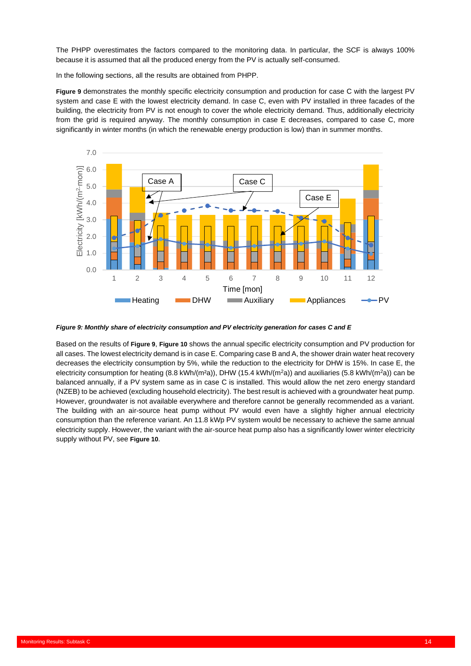The PHPP overestimates the factors compared to the monitoring data. In particular, the SCF is always 100% because it is assumed that all the produced energy from the PV is actually self-consumed.

In the following sections, all the results are obtained from PHPP.

**[Figure 9](#page-17-0)** demonstrates the monthly specific electricity consumption and production for case C with the largest PV system and case E with the lowest electricity demand. In case C, even with PV installed in three facades of the building, the electricity from PV is not enough to cover the whole electricity demand. Thus, additionally electricity from the grid is required anyway. The monthly consumption in case E decreases, compared to case C, more significantly in winter months (in which the renewable energy production is low) than in summer months.



<span id="page-17-0"></span>*Figure 9: Monthly share of electricity consumption and PV electricity generation for cases C and E*

Based on the results of **[Figure 9](#page-17-0)**, **[Figure 10](#page-18-0)** shows the annual specific electricity consumption and PV production for all cases. The lowest electricity demand is in case E. Comparing case B and A, the shower drain water heat recovery decreases the electricity consumption by 5%, while the reduction to the electricity for DHW is 15%. In case E, the electricity consumption for heating (8.8 kWh/(m<sup>2</sup>a)), DHW (15.4 kWh/(m<sup>2</sup>a)) and auxiliaries (5.8 kWh/(m<sup>2</sup>a)) can be balanced annually, if a PV system same as in case C is installed. This would allow the net zero energy standard (NZEB) to be achieved (excluding household electricity). The best result is achieved with a groundwater heat pump. However, groundwater is not available everywhere and therefore cannot be generally recommended as a variant. The building with an air-source heat pump without PV would even have a slightly higher annual electricity consumption than the reference variant. An 11.8 kWp PV system would be necessary to achieve the same annual electricity supply. However, the variant with the air-source heat pump also has a significantly lower winter electricity supply without PV, see **[Figure 10](#page-18-0)**.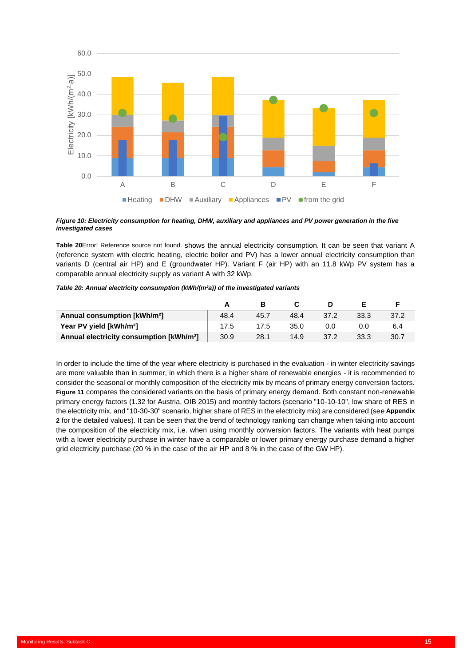

#### <span id="page-18-0"></span>*Figure 10: Electricity consumption for heating, DHW, auxiliary and appliances and PV power generation in the five investigated cases*

**[Table 20](#page-18-1)**Error! Reference source not found. shows the annual electricity consumption. It can be seen that variant A (reference system with electric heating, electric boiler and PV) has a lower annual electricity consumption than variants D (central air HP) and E (groundwater HP). Variant F (air HP) with an 11.8 kWp PV system has a comparable annual electricity supply as variant A with 32 kWp.

#### <span id="page-18-1"></span>*Table 20: Annual electricity consumption (kWh/(m²a)) of the investigated variants*

| Annual consumption [kWh/m <sup>2</sup> ]             | 48.4 | 45.7 | 48.4 | 37.2 | 33.3 | 37.2 |
|------------------------------------------------------|------|------|------|------|------|------|
| Year PV yield [kWh/m <sup>2</sup> ]                  | 17.5 | 17.5 | 35.0 | 0.0  | 0.0  | 6.4  |
| Annual electricity consumption [kWh/m <sup>2</sup> ] | 30.9 | 28.1 | 14.9 | 37.2 | 33.3 | 30.7 |

In order to include the time of the year where electricity is purchased in the evaluation - in winter electricity savings are more valuable than in summer, in which there is a higher share of renewable energies - it is recommended to consider the seasonal or monthly composition of the electricity mix by means of primary energy conversion factors. **[Figure 11](#page-19-0)** compares the considered variants on the basis of primary energy demand. Both constant non-renewable primary energy factors (1.32 for Austria, OIB 2015) and monthly factors (scenario "10-10-10", low share of RES in the electricity mix, and "10-30-30" scenario, higher share of RES in the electricity mix) are considered (see **[Appendix](#page-34-0)  [2](#page-34-0)** for the detailed values). It can be seen that the trend of technology ranking can change when taking into account the composition of the electricity mix, i.e. when using monthly conversion factors. The variants with heat pumps with a lower electricity purchase in winter have a comparable or lower primary energy purchase demand a higher grid electricity purchase (20 % in the case of the air HP and 8 % in the case of the GW HP).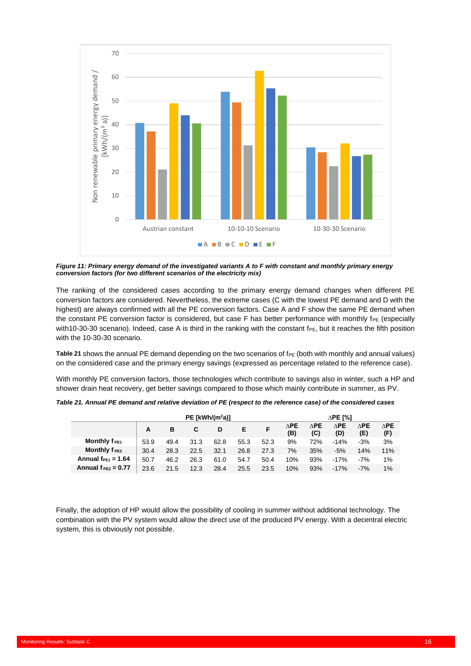

<span id="page-19-0"></span>*Figure 11: Primary energy demand of the investigated variants A to F with constant and monthly primary energy conversion factors (for two different scenarios of the electricity mix)*

The ranking of the considered cases according to the primary energy demand changes when different PE conversion factors are considered. Nevertheless, the extreme cases (C with the lowest PE demand and D with the highest) are always confirmed with all the PE conversion factors. Case A and F show the same PE demand when the constant PE conversion factor is considered, but case F has better performance with monthly  $f_{PE}$  (especially with10-30-30 scenario). Indeed, case A is third in the ranking with the constant f<sub>PE</sub>, but it reaches the fifth position with the 10-30-30 scenario.

[Table 21](#page-19-1) shows the annual PE demand depending on the two scenarios of f<sub>PE</sub> (both with monthly and annual values) on the considered case and the primary energy savings (expressed as percentage related to the reference case).

With monthly PE conversion factors, those technologies which contribute to savings also in winter, such a HP and shower drain heat recovery, get better savings compared to those which mainly contribute in summer, as PV.

|                         | PE [kWh/( $m^2$ a)] |      |      |      | $\Delta$ PE [%] |      |                       |                       |                    |                       |                       |
|-------------------------|---------------------|------|------|------|-----------------|------|-----------------------|-----------------------|--------------------|-----------------------|-----------------------|
|                         | А                   | в    |      | D    | Е               |      | $\triangle$ PE<br>(B) | $\triangle$ PE<br>(C) | $\Delta$ PE<br>(D) | $\triangle$ PE<br>(E) | $\triangle$ PE<br>(F) |
| Monthly $f_{PE1}$       | 53.9                | 49.4 | 31.3 | 62.8 | 55.3            | 52.3 | 9%                    | 72%                   | $-14%$             | $-3%$                 | 3%                    |
| Monthly $f_{PE2}$       | 30.4                | 28.3 | 22.5 | 32.1 | 26.8            | 27.3 | 7%                    | 35%                   | $-5%$              | 14%                   | 11%                   |
| Annual $f_{PE1} = 1.64$ | 50.7                | 46.2 | 26.3 | 61.0 | 54.7            | 50.4 | 10%                   | 93%                   | $-17%$             | $-7%$                 | 1%                    |
| Annual $f_{PE2} = 0.77$ | 23.6                | 21.5 | 12.3 | 28.4 | 25.5            | 23.5 | 10%                   | 93%                   | $-17%$             | $-7%$                 | 1%                    |

<span id="page-19-1"></span>*Table 21. Annual PE demand and relative deviation of PE (respect to the reference case) of the considered cases*

Finally, the adoption of HP would allow the possibility of cooling in summer without additional technology. The combination with the PV system would allow the direct use of the produced PV energy. With a decentral electric system, this is obviously not possible.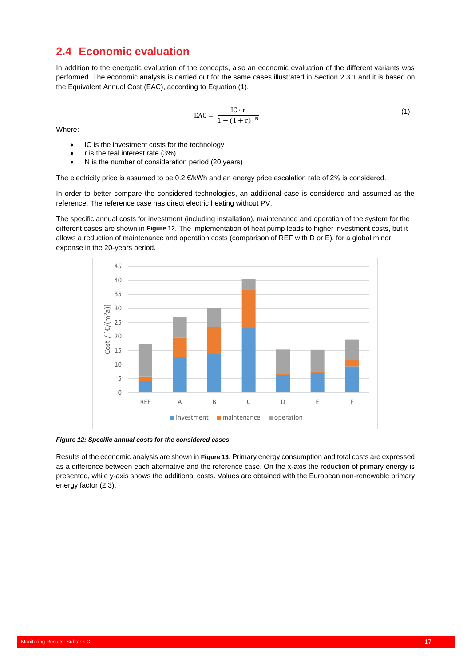# <span id="page-20-0"></span>**2.4 Economic evaluation**

In addition to the energetic evaluation of the concepts, also an economic evaluation of the different variants was performed. The economic analysis is carried out for the same cases illustrated in Section [2.3.1](#page-16-1) and it is based on the Equivalent Annual Cost (EAC), according to Equation (1).

$$
EAC = \frac{IC \cdot r}{1 - (1 + r)^{-N}}
$$
 (1)

Where:

- IC is the investment costs for the technology
- r is the teal interest rate (3%)
- N is the number of consideration period (20 years)

The electricity price is assumed to be 0.2 €/kWh and an energy price escalation rate of 2% is considered.

In order to better compare the considered technologies, an additional case is considered and assumed as the reference. The reference case has direct electric heating without PV.

The specific annual costs for investment (including installation), maintenance and operation of the system for the different cases are shown in **[Figure 12](#page-20-1)**. The implementation of heat pump leads to higher investment costs, but it allows a reduction of maintenance and operation costs (comparison of REF with D or E), for a global minor expense in the 20-years period.



<span id="page-20-1"></span>*Figure 12: Specific annual costs for the considered cases*

System Simulation Models: Subtask C

Results of the economic analysis are shown in **[Figure 13](#page-21-0)**. Primary energy consumption and total costs are expressed as a difference between each alternative and the reference case. On the x-axis the reduction of primary energy is presented, while y-axis shows the additional costs. Values are obtained with the European non-renewable primary energy factor (2.3).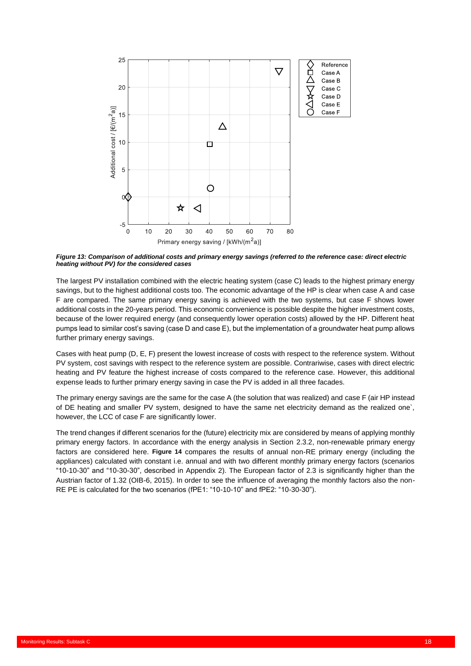

<span id="page-21-0"></span>*Figure 13: Comparison of additional costs and primary energy savings (referred to the reference case: direct electric heating without PV) for the considered cases*

The largest PV installation combined with the electric heating system (case C) leads to the highest primary energy savings, but to the highest additional costs too. The economic advantage of the HP is clear when case A and case F are compared. The same primary energy saving is achieved with the two systems, but case F shows lower additional costs in the 20-years period. This economic convenience is possible despite the higher investment costs, because of the lower required energy (and consequently lower operation costs) allowed by the HP. Different heat pumps lead to similar cost's saving (case D and case E), but the implementation of a groundwater heat pump allows further primary energy savings.

Cases with heat pump (D, E, F) present the lowest increase of costs with respect to the reference system. Without PV system, cost savings with respect to the reference system are possible. Contrariwise, cases with direct electric heating and PV feature the highest increase of costs compared to the reference case. However, this additional expense leads to further primary energy saving in case the PV is added in all three facades.

The primary energy savings are the same for the case A (the solution that was realized) and case F (air HP instead of DE heating and smaller PV system, designed to have the same net electricity demand as the realized one`, however, the LCC of case F are significantly lower.

The trend changes if different scenarios for the (future) electricity mix are considered by means of applying monthly primary energy factors. In accordance with the energy analysis in Section [2.3.2,](#page-16-2) non-renewable primary energy factors are considered here. **[Figure 14](#page-22-0)** compares the results of annual non-RE primary energy (including the appliances) calculated with constant i.e. annual and with two different monthly primary energy factors (scenarios "10-10-30" and "10-30-30", described in [Appendix 2\)](#page-34-0). The European factor of 2.3 is significantly higher than the Austrian factor of 1.32 (OIB-6, 2015). In order to see the influence of averaging the monthly factors also the non-RE PE is calculated for the two scenarios (fPE1: "10-10-10" and fPE2: "10-30-30").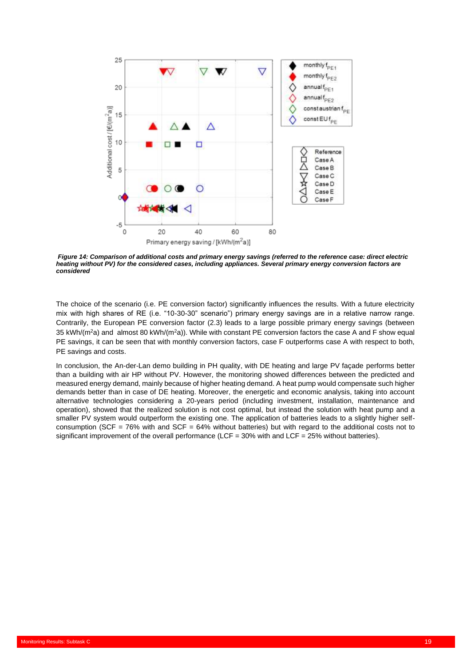

<span id="page-22-0"></span>*Figure 14: Comparison of additional costs and primary energy savings (referred to the reference case: direct electric heating without PV) for the considered cases, including appliances. Several primary energy conversion factors are considered*

The choice of the scenario (i.e. PE conversion factor) significantly influences the results. With a future electricity mix with high shares of RE (i.e. "10-30-30" scenario") primary energy savings are in a relative narrow range. Contrarily, the European PE conversion factor (2.3) leads to a large possible primary energy savings (between 35 kWh/(m<sup>2</sup>a) and almost 80 kWh/(m<sup>2</sup>a)). While with constant PE conversion factors the case A and F show equal PE savings, it can be seen that with monthly conversion factors, case F outperforms case A with respect to both, PE savings and costs.

In conclusion, the An-der-Lan demo building in PH quality, with DE heating and large PV façade performs better than a building with air HP without PV. However, the monitoring showed differences between the predicted and measured energy demand, mainly because of higher heating demand. A heat pump would compensate such higher demands better than in case of DE heating. Moreover, the energetic and economic analysis, taking into account alternative technologies considering a 20-years period (including investment, installation, maintenance and operation), showed that the realized solution is not cost optimal, but instead the solution with heat pump and a smaller PV system would outperform the existing one. The application of batteries leads to a slightly higher selfconsumption (SCF =  $76\%$  with and SCF =  $64\%$  without batteries) but with regard to the additional costs not to significant improvement of the overall performance (LCF =  $30\%$  with and LCF =  $25\%$  without batteries).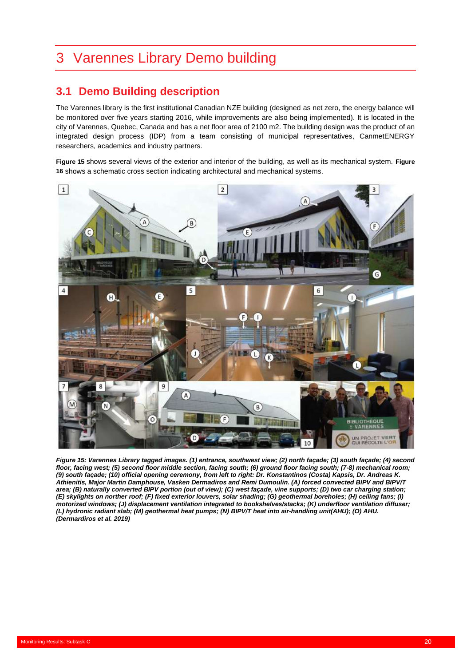# <span id="page-23-0"></span>3 Varennes Library Demo building

# <span id="page-23-1"></span>**3.1 Demo Building description**

The Varennes library is the first institutional Canadian NZE building (designed as net zero, the energy balance will be monitored over five years starting 2016, while improvements are also being implemented). It is located in the city of Varennes, Quebec, Canada and has a net floor area of 2100 m2. The building design was the product of an integrated design process (IDP) from a team consisting of municipal representatives, CanmetENERGY researchers, academics and industry partners.

**[Figure 15](#page-23-2)** shows several views of the exterior and interior of the building, as well as its mechanical system. **[Figure](#page-24-1)  [16](#page-24-1)** shows a schematic cross section indicating architectural and mechanical systems.



<span id="page-23-2"></span>*Figure 15: Varennes Library tagged images. (1) entrance, southwest view; (2) north façade; (3) south façade; (4) second floor, facing west; (5) second floor middle section, facing south; (6) ground floor facing south; (7-8) mechanical room; (9) south façade; (10) official opening ceremony, from left to right: Dr. Konstantinos (Costa) Kapsis, Dr. Andreas K. Athienitis, Major Martin Damphouse, Vasken Dermadiros and Remi Dumoulin. (A) forced convected BIPV and BIPV/T area; (B) naturally converted BIPV portion (out of view); (C) west façade, vine supports; (D) two car charging station; (E) skylights on norther roof; (F) fixed exterior louvers, solar shading; (G) geothermal boreholes; (H) ceiling fans; (I) motorized windows; (J) displacement ventilation integrated to bookshelves/stacks; (K) underfloor ventilation diffuser; (L) hydronic radiant slab; (M) geothermal heat pumps; (N) BIPV/T heat into air-handling unit(AHU); (O) AHU. (Dermardiros et al. 2019)*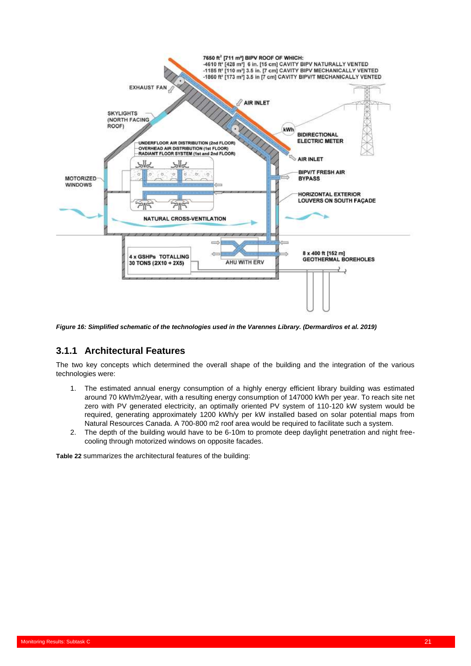

<span id="page-24-1"></span>*Figure 16: Simplified schematic of the technologies used in the Varennes Library. (Dermardiros et al. 2019)*

# <span id="page-24-0"></span>**3.1.1 Architectural Features**

The two key concepts which determined the overall shape of the building and the integration of the various technologies were:

- 1. The estimated annual energy consumption of a highly energy efficient library building was estimated around 70 kWh/m2/year, with a resulting energy consumption of 147000 kWh per year. To reach site net zero with PV generated electricity, an optimally oriented PV system of 110-120 kW system would be required, generating approximately 1200 kWh/y per kW installed based on solar potential maps from Natural Resources Canada. A 700-800 m2 roof area would be required to facilitate such a system.
- 2. The depth of the building would have to be 6-10m to promote deep daylight penetration and night freecooling through motorized windows on opposite facades.

**[Table 22](#page-25-2)** summarizes the architectural features of the building: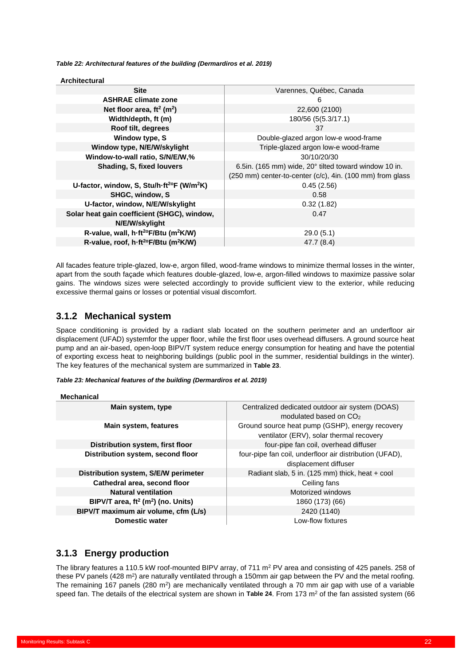<span id="page-25-2"></span>*Table 22: Architectural features of the building (Dermardiros et al. 2019)*

| <b>Architectural</b>                                         |                                                                                  |
|--------------------------------------------------------------|----------------------------------------------------------------------------------|
| <b>Site</b>                                                  | Varennes, Québec, Canada                                                         |
| <b>ASHRAE climate zone</b>                                   | 6                                                                                |
| Net floor area, $ft^2$ (m <sup>2</sup> )                     | 22,600 (2100)                                                                    |
| Width/depth, ft (m)                                          | 180/56 (5(5.3/17.1)                                                              |
| Roof tilt, degrees                                           | 37                                                                               |
| Window type, S                                               | Double-glazed argon low-e wood-frame                                             |
| Window type, N/E/W/skylight                                  | Triple-glazed argon low-e wood-frame                                             |
| Window-to-wall ratio, S/N/E/W,%                              | 30/10/20/30                                                                      |
| Shading, S, fixed louvers                                    | 6.5in. (165 mm) wide, $20^{\circ}$ tilted toward window 10 in.                   |
|                                                              | $(250 \text{ mm})$ center-to-center $(c/c)$ , 4in. $(100 \text{ mm})$ from glass |
| U-factor, window, S, Stu/h $ft^{20}F$ (W/m <sup>2</sup> K)   | 0.45(2.56)                                                                       |
| SHGC, window, S                                              | 0.58                                                                             |
| U-factor, window, N/E/W/skylight                             | 0.32(1.82)                                                                       |
| Solar heat gain coefficient (SHGC), window,                  | 0.47                                                                             |
| N/E/W/skylight                                               |                                                                                  |
| R-value, wall, h ft <sup>2o</sup> F/Btu (m <sup>2</sup> K/W) | 29.0(5.1)                                                                        |
| R-value, roof, h-ft <sup>2o</sup> F/Btu (m <sup>2</sup> K/W) | 47.7 (8.4)                                                                       |

All facades feature triple-glazed, low-e, argon filled, wood-frame windows to minimize thermal losses in the winter, apart from the south façade which features double-glazed, low-e, argon-filled windows to maximize passive solar gains. The windows sizes were selected accordingly to provide sufficient view to the exterior, while reducing excessive thermal gains or losses or potential visual discomfort.

# <span id="page-25-0"></span>**3.1.2 Mechanical system**

Space conditioning is provided by a radiant slab located on the southern perimeter and an underfloor air displacement (UFAD) systemfor the upper floor, while the first floor uses overhead diffusers. A ground source heat pump and an air-based, open-loop BIPV/T system reduce energy consumption for heating and have the potential of exporting excess heat to neighboring buildings (public pool in the summer, residential buildings in the winter). The key features of the mechanical system are summarized in **[Table 23](#page-25-3)**.

<span id="page-25-3"></span>*Table 23: Mechanical features of the building (Dermardiros et al. 2019)*

#### **Mechanical**

| Main system, type                                 | Centralized dedicated outdoor air system (DOAS)<br>modulated based on CO <sub>2</sub>       |
|---------------------------------------------------|---------------------------------------------------------------------------------------------|
| Main system, features                             | Ground source heat pump (GSHP), energy recovery<br>ventilator (ERV), solar thermal recovery |
| Distribution system, first floor                  | four-pipe fan coil, overhead diffuser                                                       |
| Distribution system, second floor                 | four-pipe fan coil, underfloor air distribution (UFAD),<br>displacement diffuser            |
|                                                   |                                                                                             |
| Distribution system, S/E/W perimeter              | Radiant slab, 5 in. (125 mm) thick, heat + cool                                             |
| Cathedral area, second floor                      | Ceiling fans                                                                                |
| <b>Natural ventilation</b>                        | Motorized windows                                                                           |
| BIPV/T area, $ft^2$ (m <sup>2</sup> ) (no. Units) | 1860 (173) (66)                                                                             |
| BIPV/T maximum air volume, cfm (L/s)              | 2420 (1140)                                                                                 |
| <b>Domestic water</b>                             | Low-flow fixtures                                                                           |

### <span id="page-25-1"></span>**3.1.3 Energy production**

System Simulation Models: Subtask C

The library features a 110.5 kW roof-mounted BIPV array, of 711 m<sup>2</sup> PV area and consisting of 425 panels. 258 of these PV panels (428 m<sup>2</sup>) are naturally ventilated through a 150mm air gap between the PV and the metal roofing. The remaining 167 panels (280 m<sup>2</sup>) are mechanically ventilated through a 70 mm air gap with use of a variable speed fan. The details of the electrical system are shown in **[Table 24](#page-26-2)**. From 173 m<sup>2</sup> of the fan assisted system (66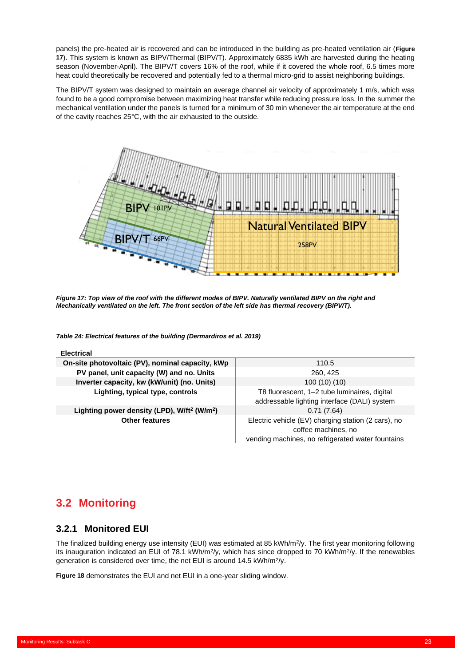panels) the pre-heated air is recovered and can be introduced in the building as pre-heated ventilation air (**[Figure](#page-26-3)  [17](#page-26-3)**). This system is known as BIPV/Thermal (BIPV/T). Approximately 6835 kWh are harvested during the heating season (November-April). The BIPV/T covers 16% of the roof, while if it covered the whole roof, 6.5 times more heat could theoretically be recovered and potentially fed to a thermal micro-grid to assist neighboring buildings.

The BIPV/T system was designed to maintain an average channel air velocity of approximately 1 m/s, which was found to be a good compromise between maximizing heat transfer while reducing pressure loss. In the summer the mechanical ventilation under the panels is turned for a minimum of 30 min whenever the air temperature at the end of the cavity reaches 25°C, with the air exhausted to the outside.



<span id="page-26-3"></span>*Figure 17: Top view of the roof with the different modes of BIPV. Naturally ventilated BIPV on the right and Mechanically ventilated on the left. The front section of the left side has thermal recovery (BIPV/T).*

<span id="page-26-2"></span>*Table 24: Electrical features of the building (Dermardiros et al. 2019)*

| <b>Electrical</b>                                                   |                                                                                                                                 |
|---------------------------------------------------------------------|---------------------------------------------------------------------------------------------------------------------------------|
| On-site photovoltaic (PV), nominal capacity, kWp                    | 110.5                                                                                                                           |
| PV panel, unit capacity (W) and no. Units                           | 260, 425                                                                                                                        |
| Inverter capacity, kw (kW/unit) (no. Units)                         | 100(10)(10)                                                                                                                     |
| Lighting, typical type, controls                                    | T8 fluorescent, 1-2 tube luminaires, digital<br>addressable lighting interface (DALI) system                                    |
| Lighting power density (LPD), W/ft <sup>2</sup> (W/m <sup>2</sup> ) | 0.71(7.64)                                                                                                                      |
| <b>Other features</b>                                               | Electric vehicle (EV) charging station (2 cars), no<br>coffee machines, no<br>vending machines, no refrigerated water fountains |

# <span id="page-26-0"></span>**3.2 Monitoring**

### <span id="page-26-1"></span>**3.2.1 Monitored EUI**

The finalized building energy use intensity (EUI) was estimated at 85 kWh/m<sup>2</sup>/y. The first year monitoring following its inauguration indicated an EUI of 78.1 kWh/m<sup>2</sup>/y, which has since dropped to 70 kWh/m<sup>2</sup>/y. If the renewables generation is considered over time, the net EUI is around 14.5 kWh/m<sup>2</sup>/y.

**[Figure 18](#page-27-1)** demonstrates the EUI and net EUI in a one-year sliding window.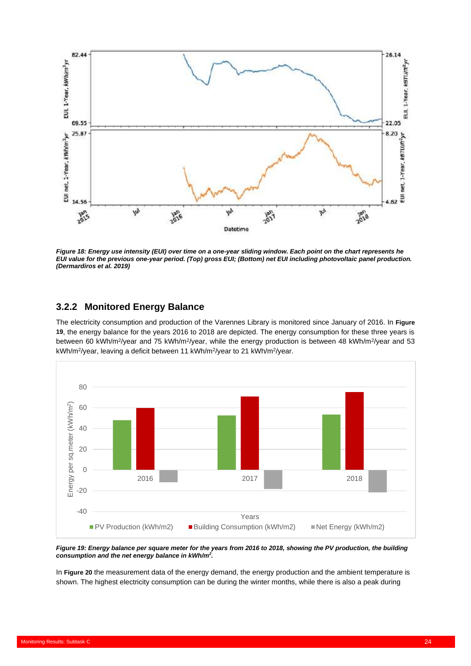

<span id="page-27-1"></span>*Figure 18: Energy use intensity (EUI) over time on a one-year sliding window. Each point on the chart represents he EUI value for the previous one-year period. (Top) gross EUI; (Bottom) net EUI including photovoltaic panel production. (Dermardiros et al. 2019)*

# <span id="page-27-0"></span>**3.2.2 Monitored Energy Balance**

System Simulation Models: Subtask C

The electricity consumption and production of the Varennes Library is monitored since January of 2016. In **[Figure](#page-27-2)  [19](#page-27-2)**, the energy balance for the years 2016 to 2018 are depicted. The energy consumption for these three years is between 60 kWh/m<sup>2</sup>/year and 75 kWh/m<sup>2</sup>/year, while the energy production is between 48 kWh/m<sup>2</sup>/year and 53 kWh/m<sup>2</sup>/year, leaving a deficit between 11 kWh/m<sup>2</sup>/year to 21 kWh/m<sup>2</sup>/year.



<span id="page-27-2"></span>*Figure 19: Energy balance per square meter for the years from 2016 to 2018, showing the PV production, the building consumption and the net energy balance in kWh/m<sup>2</sup> .*

In **[Figure 20](#page-28-0)** the measurement data of the energy demand, the energy production and the ambient temperature is shown. The highest electricity consumption can be during the winter months, while there is also a peak during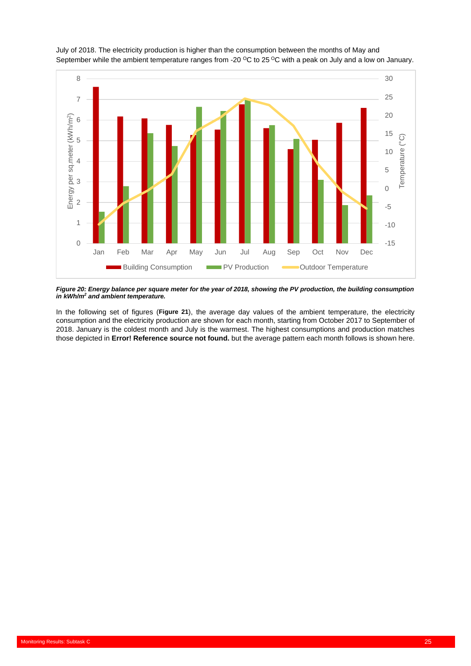

July of 2018. The electricity production is higher than the consumption between the months of May and September while the ambient temperature ranges from -20  $\rm{^{\circ}C}$  to 25  $\rm{^{\circ}C}$  with a peak on July and a low on January.

<span id="page-28-0"></span>*Figure 20: Energy balance per square meter for the year of 2018, showing the PV production, the building consumption in kWh/m<sup>2</sup> and ambient temperature.*

In the following set of figures (**[Figure 21](#page-29-0)**), the average day values of the ambient temperature, the electricity consumption and the electricity production are shown for each month, starting from October 2017 to September of 2018. January is the coldest month and July is the warmest. The highest consumptions and production matches those depicted in **Error! Reference source not found.** but the average pattern each month follows is shown here.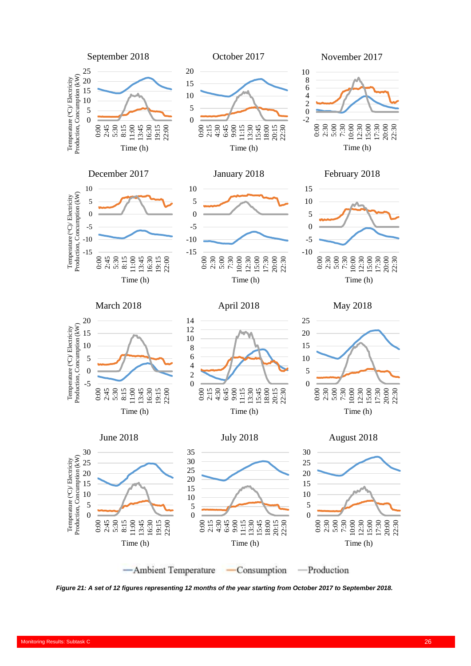

<span id="page-29-0"></span>*Figure 21: A set of 12 figures representing 12 months of the year starting from October 2017 to September 2018.*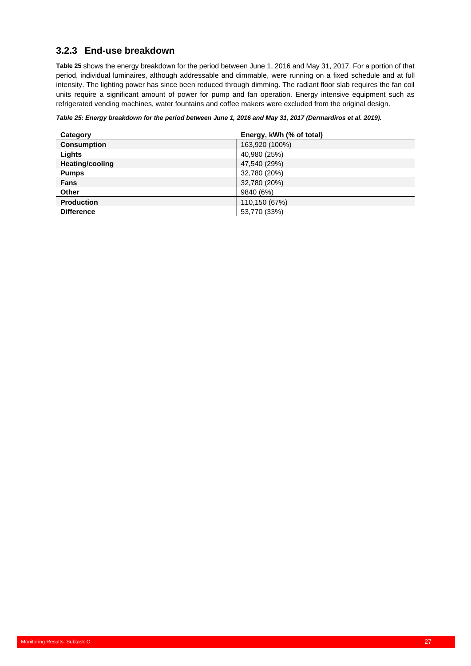# <span id="page-30-0"></span>**3.2.3 End-use breakdown**

**[Table 25](#page-30-1)** shows the energy breakdown for the period between June 1, 2016 and May 31, 2017. For a portion of that period, individual luminaires, although addressable and dimmable, were running on a fixed schedule and at full intensity. The lighting power has since been reduced through dimming. The radiant floor slab requires the fan coil units require a significant amount of power for pump and fan operation. Energy intensive equipment such as refrigerated vending machines, water fountains and coffee makers were excluded from the original design.

#### <span id="page-30-1"></span>*Table 25: Energy breakdown for the period between June 1, 2016 and May 31, 2017 (Dermardiros et al. 2019).*

| Category               | Energy, kWh (% of total) |
|------------------------|--------------------------|
| <b>Consumption</b>     | 163,920 (100%)           |
| Lights                 | 40,980 (25%)             |
| <b>Heating/cooling</b> | 47,540 (29%)             |
| <b>Pumps</b>           | 32,780 (20%)             |
| Fans                   | 32,780 (20%)             |
| Other                  | 9840 (6%)                |
| <b>Production</b>      | 110,150 (67%)            |
| <b>Difference</b>      | 53,770 (33%)             |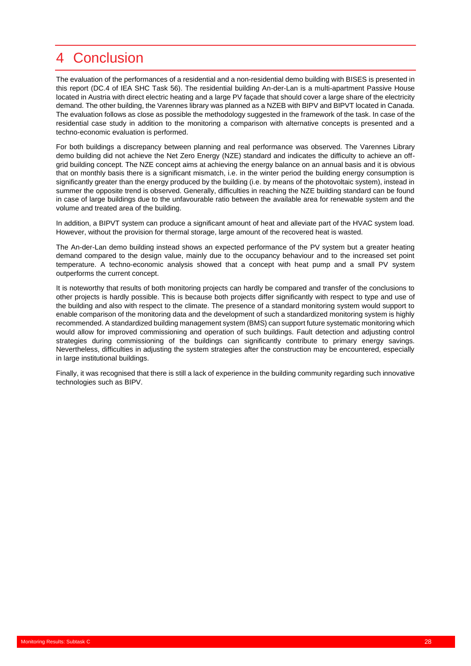# <span id="page-31-0"></span>4 Conclusion

The evaluation of the performances of a residential and a non-residential demo building with BISES is presented in this report (DC.4 of IEA SHC Task 56). The residential building An-der-Lan is a multi-apartment Passive House located in Austria with direct electric heating and a large PV façade that should cover a large share of the electricity demand. The other building, the Varennes library was planned as a NZEB with BIPV and BIPVT located in Canada. The evaluation follows as close as possible the methodology suggested in the framework of the task. In case of the residential case study in addition to the monitoring a comparison with alternative concepts is presented and a techno-economic evaluation is performed.

For both buildings a discrepancy between planning and real performance was observed. The Varennes Library demo building did not achieve the Net Zero Energy (NZE) standard and indicates the difficulty to achieve an offgrid building concept. The NZE concept aims at achieving the energy balance on an annual basis and it is obvious that on monthly basis there is a significant mismatch, i.e. in the winter period the building energy consumption is significantly greater than the energy produced by the building (i.e. by means of the photovoltaic system), instead in summer the opposite trend is observed. Generally, difficulties in reaching the NZE building standard can be found in case of large buildings due to the unfavourable ratio between the available area for renewable system and the volume and treated area of the building.

In addition, a BIPVT system can produce a significant amount of heat and alleviate part of the HVAC system load. However, without the provision for thermal storage, large amount of the recovered heat is wasted.

The An-der-Lan demo building instead shows an expected performance of the PV system but a greater heating demand compared to the design value, mainly due to the occupancy behaviour and to the increased set point temperature. A techno-economic analysis showed that a concept with heat pump and a small PV system outperforms the current concept.

It is noteworthy that results of both monitoring projects can hardly be compared and transfer of the conclusions to other projects is hardly possible. This is because both projects differ significantly with respect to type and use of the building and also with respect to the climate. The presence of a standard monitoring system would support to enable comparison of the monitoring data and the development of such a standardized monitoring system is highly recommended. A standardized building management system (BMS) can support future systematic monitoring which would allow for improved commissioning and operation of such buildings. Fault detection and adjusting control strategies during commissioning of the buildings can significantly contribute to primary energy savings. Nevertheless, difficulties in adjusting the system strategies after the construction may be encountered, especially in large institutional buildings.

Finally, it was recognised that there is still a lack of experience in the building community regarding such innovative technologies such as BIPV.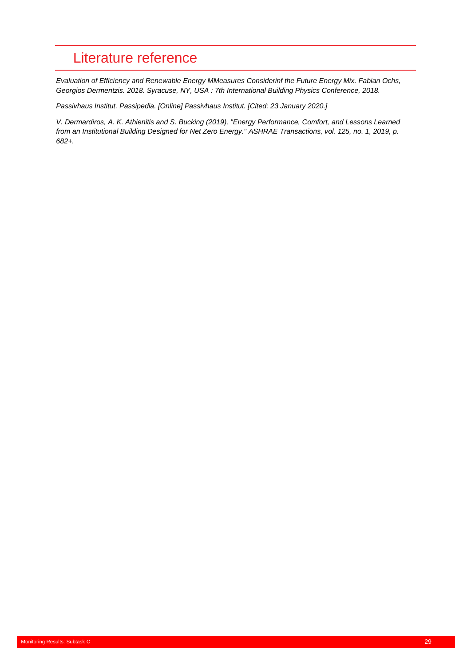# <span id="page-32-0"></span>Literature reference

*Evaluation of Efficiency and Renewable Energy MMeasures Considerinf the Future Energy Mix. Fabian Ochs, Georgios Dermentzis. 2018. Syracuse, NY, USA : 7th International Building Physics Conference, 2018.*

*Passivhaus Institut. Passipedia. [Online] Passivhaus Institut. [Cited: 23 January 2020.]*

*V. Dermardiros, A. K. Athienitis and S. Bucking (2019), "Energy Performance, Comfort, and Lessons Learned from an Institutional Building Designed for Net Zero Energy." ASHRAE Transactions, vol. 125, no. 1, 2019, p. 682+.*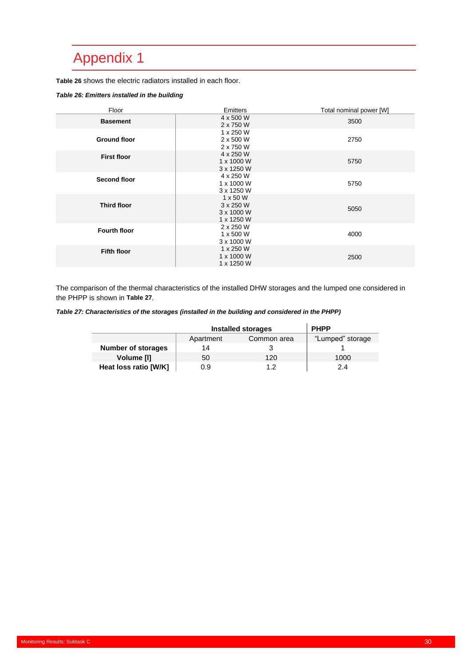# <span id="page-33-0"></span>Appendix 1

**[Table 26](#page-33-1)** shows the electric radiators installed in each floor.

#### <span id="page-33-1"></span>*Table 26: Emitters installed in the building*

| Floor               | Emitters                                                 | Total nominal power [W] |
|---------------------|----------------------------------------------------------|-------------------------|
| <b>Basement</b>     | 4 x 500 W<br>2 x 750 W                                   | 3500                    |
| <b>Ground floor</b> | 1 x 250 W<br>2 x 500 W<br>2 x 750 W                      | 2750                    |
| <b>First floor</b>  | 4 x 250 W<br>1 x 1000 W<br>3 x 1250 W                    | 5750                    |
| <b>Second floor</b> | 4 x 250 W<br>1 x 1000 W<br>3 x 1250 W                    | 5750                    |
| <b>Third floor</b>  | $1 \times 50$ W<br>3 x 250 W<br>3 x 1000 W<br>1 x 1250 W | 5050                    |
| <b>Fourth floor</b> | 2 x 250 W<br>1 x 500 W<br>3 x 1000 W                     | 4000                    |
| <b>Fifth floor</b>  | 1 x 250 W<br>1 x 1000 W<br>1 x 1250 W                    | 2500                    |

The comparison of the thermal characteristics of the installed DHW storages and the lumped one considered in the PHPP is shown in **[Table 27](#page-33-2)**.

<span id="page-33-2"></span>*Table 27: Characteristics of the storages (installed in the building and considered in the PHPP)*

|                           | <b>Installed storages</b> | <b>PHPP</b>      |      |
|---------------------------|---------------------------|------------------|------|
|                           | Apartment                 | "Lumped" storage |      |
| <b>Number of storages</b> | 14                        |                  |      |
| Volume [I]                | 50                        | 120              | 1000 |
| Heat loss ratio [W/K]     | 0.9                       |                  | 2.4  |